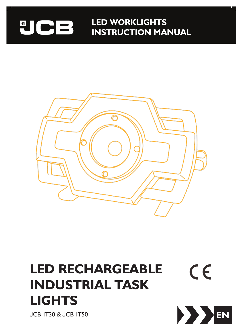### **LED WORKLIGHTS** UCB **INSTRUCTION MANUAL**



# **LED RECHARGEABLE**  $C \in$ **INDUSTRIAL TASK LIGHTS**

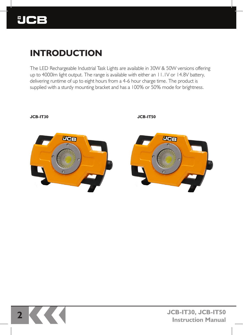

### **INTRODUCTION**

The LED Rechargeable Industrial Task Lights are available in 30W & 50W versions offering up to 4000lm light output. The range is available with either an 11.1V or 14.8V battery, delivering runtime of up to eight hours from a 4-6 hour charge time. The product is supplied with a sturdy mounting bracket and has a 100% or 50% mode for brightness.



**JCB-IT30 JCB-IT50**

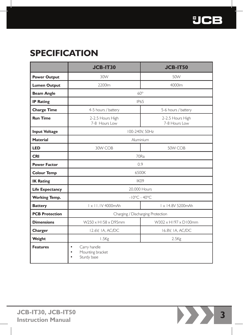## **SPECIFICATION**

|                        | <b>JCB-IT30</b>                                                   | <b>JCB-IT50</b>                    |  |
|------------------------|-------------------------------------------------------------------|------------------------------------|--|
| <b>Power Output</b>    | 30W                                                               | 50W                                |  |
| <b>Lumen Output</b>    | 2200lm                                                            | 4000lm                             |  |
| <b>Beam Angle</b>      | $60^\circ$                                                        |                                    |  |
| <b>IP Rating</b>       | <b>IP65</b>                                                       |                                    |  |
| <b>Charge Time</b>     | 4-5 hours / battery                                               | 5-6 hours / battery                |  |
| <b>Run Time</b>        | 2-2.5 Hours High<br>7-8 Hours I ow                                | 2-2.5 Hours High<br>7-8 Hours I ow |  |
| <b>Input Voltage</b>   | 100-240V, 50Hz                                                    |                                    |  |
| <b>Material</b>        | Aluminium                                                         |                                    |  |
| <b>LED</b>             | 30W COB                                                           | 50W COB                            |  |
| <b>CRI</b>             | 70Ra                                                              |                                    |  |
| <b>Power Factor</b>    | 0.9                                                               |                                    |  |
| <b>Colour Temp</b>     | 6500K                                                             |                                    |  |
| <b>IK Rating</b>       | IK09                                                              |                                    |  |
| <b>Life Expectancy</b> | 20,000 Hours                                                      |                                    |  |
| <b>Working Temp.</b>   | $-10^{\circ}$ C - 40°C                                            |                                    |  |
| <b>Battery</b>         | I x 11.1V 4000mAh                                                 | I x 14.8V 5200mAh                  |  |
| <b>PCB Protection</b>  | Charging / Discharging Protection                                 |                                    |  |
| <b>Dimensions</b>      | W250 x H158 x D95mm                                               | W302 x H197 x D100mm               |  |
| Charger                | 12.6V, IA, AC/DC                                                  | 16.8V, 1A, AC/DC                   |  |
| Weight                 | 1.5Kg                                                             | 2.5 <sub>kg</sub>                  |  |
| <b>Features</b>        | Carry handle<br>$\bullet$<br>Mounting bracket<br>٠<br>Sturdy base |                                    |  |

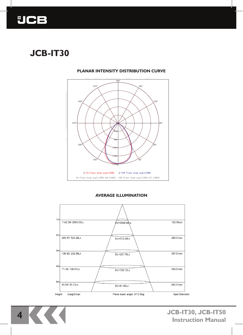

## **JCB-IT30**

#### **PLANAR INTENSITY DISTRIBUTION CURVE** Planar Intensity Distribution Curve



#### **AVERAGE ILLUMINATION**



**4 JCB-IT30, JCB-IT50 Instruction Manual**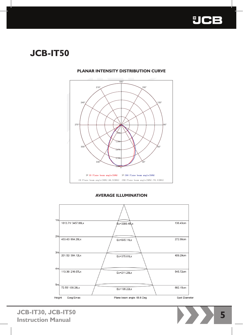

## **JCB-IT50**



#### **PLANAR INTENSITY DISTRIBUTION CURVE** Planar Intensity Distribution Curve

#### **AVERAGE ILLUMINATION**



**5 JCB-IT30, JCB-IT50 Instruction Manual**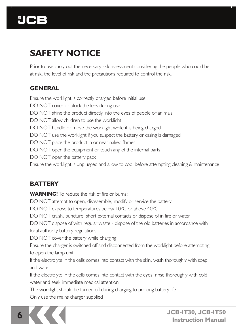

## **SAFETY NOTICE**

Prior to use carry out the necessary risk assessment considering the people who could be at risk, the level of risk and the precautions required to control the risk.

### **GENERAL**

Ensure the worklight is correctly charged before initial use DO NOT cover or block the lens during use DO NOT shine the product directly into the eyes of people or animals DO NOT allow children to use the worklight DO NOT handle or move the worklight while it is being charged DO NOT use the worklight if you suspect the battery or casing is damaged DO NOT place the product in or near naked flames DO NOT open the equipment or touch any of the internal parts DO NOT open the battery pack Ensure the worklight is unplugged and allow to cool before attempting cleaning & maintenance

### **BATTERY**

**WARNING!** To reduce the risk of fire or burns: DO NOT attempt to open, disassemble, modify or service the battery DO NOT expose to temperatures below 10ºC or above 40ºC DO NOT crush, puncture, short external contacts or dispose of in fire or water DO NOT dispose of with regular waste - dispose of the old batteries in accordance with local authority battery regulations DO NOT cover the battery while charging Ensure the charger is switched off and disconnected from the worklight before attempting to open the lamp unit If the electrolyte in the cells comes into contact with the skin, wash thoroughly with soap and water If the electrolyte in the cells comes into contact with the eyes, rinse thoroughly with cold water and seek immediate medical attention The worklight should be turned off during charging to prolong battery life Only use the mains charger supplied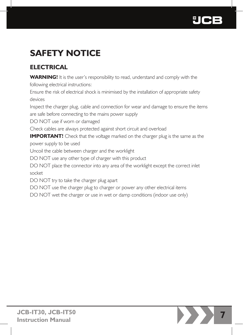

# **SAFETY NOTICE**

### **ELECTRICAL**

**WARNING!** It is the user's responsibility to read, understand and comply with the following electrical instructions:

Ensure the risk of electrical shock is minimised by the installation of appropriate safety devices

Inspect the charger plug, cable and connection for wear and damage to ensure the items are safe before connecting to the mains power supply

DO NOT use if worn or damaged

Check cables are always protected against short circuit and overload

**IMPORTANT!** Check that the voltage marked on the charger plug is the same as the power supply to be used

Uncoil the cable between charger and the worklight

DO NOT use any other type of charger with this product

DO NOT place the connector into any area of the worklight except the correct inlet socket

DO NOT try to take the charger plug apart

DO NOT use the charger plug to charger or power any other electrical items

DO NOT wet the charger or use in wet or damp conditions (indoor use only)

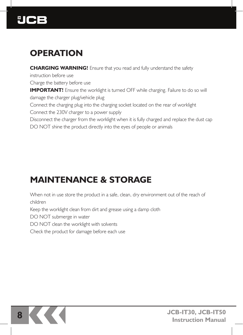

### **OPERATION**

**CHARGING WARNING!** Ensure that you read and fully understand the safety

instruction before use

Charge the battery before use

**IMPORTANT!** Ensure the worklight is turned OFF while charging. Failure to do so will damage the charger plug/vehicle plug

Connect the charging plug into the charging socket located on the rear of worklight

Connect the 230V charger to a power supply

Disconnect the charger from the worklight when it is fully charged and replace the dust cap

DO NOT shine the product directly into the eyes of people or animals

### **MAINTENANCE & STORAGE**

When not in use store the product in a safe, clean, dry environment out of the reach of children

Keep the worklight clean from dirt and grease using a damp cloth

DO NOT submerge in water

DO NOT clean the worklight with solvents

Check the product for damage before each use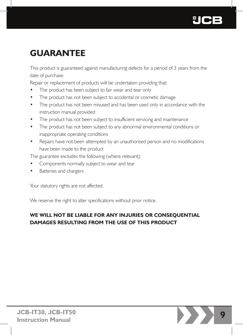

### **GUARANTEE**

This product is guaranteed against manufacturing defects for a period of 3 years from the date of purchase.

Repair or replacement of products will be undertaken providing that:

- The product has been subject to fair wear and tear only
- The product has not been subject to accidental or cosmetic damage
- The product has not been misused and has been used only in accordance with the instruction manual provided
- The product has not been subject to insufficient servicing and maintenance
- The product has not been subject to any abnormal environmental conditions or inappropriate operating conditions
- Repairs have not been attempted by an unauthorised person and no modifications have been made to the product

The guarantee excludes the following (where relevant):

- Components normally subject to wear and tear
- Batteries and chargers

Your statutory rights are not affected.

We reserve the right to alter specifications without prior notice.

### **WE WILL NOT BE LIABLE FOR ANY INJURIES OR CONSEQUENTIAL DAMAGES RESULTING FROM THE USE OF THIS PRODUCT**

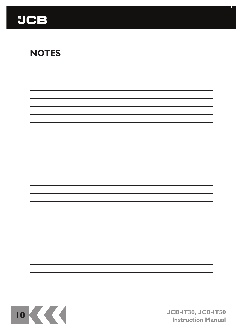

### **NOTES**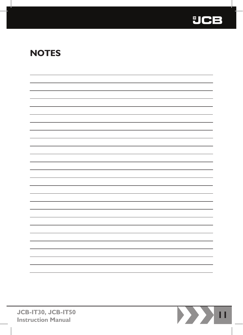

### **NOTES**